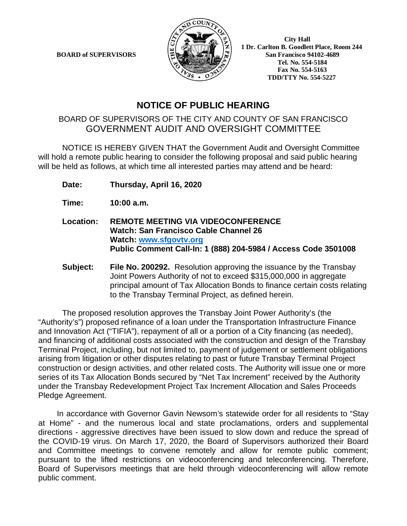**BOARD of SUPERVISORS** 



 **1 Dr. Carlton B. Goodlett Place, Room 244 Tel. No. 554-5184 Fax No. 554-5163 TDD/TTY No. 554-5227** 

## **NOTICE OF PUBLIC HEARING**

## BOARD OF SUPERVISORS OF THE CITY AND COUNTY OF SAN FRANCISCO GOVERNMENT AUDIT AND OVERSIGHT COMMITTEE

NOTICE IS HEREBY GIVEN THAT the Government Audit and Oversight Committee will hold a remote public hearing to consider the following proposal and said public hearing will be held as follows, at which time all interested parties may attend and be heard:

**Date: Thursday, April 16, 2020**

**Time: 10:00 a.m.**

- **Location: REMOTE MEETING VIA VIDEOCONFERENCE Watch: San Francisco Cable Channel 26 Watch: www.sfgovtv.org Public Comment Call-In: 1 (888) 204-5984 / Access Code 3501008**
- **Subject: File No. 200292.** Resolution approving the issuance by the Transbay Joint Powers Authority of not to exceed \$315,000,000 in aggregate principal amount of Tax Allocation Bonds to finance certain costs relating to the Transbay Terminal Project, as defined herein.

The proposed resolution approves the Transbay Joint Power Authority's (the "Authority's") proposed refinance of a loan under the Transportation Infrastructure Finance and Innovation Act ("TIFIA"), repayment of all or a portion of a City financing (as needed), and financing of additional costs associated with the construction and design of the Transbay Terminal Project, including, but not limited to, payment of judgement or settlement obligations arising from litigation or other disputes relating to past or future Transbay Terminal Project construction or design activities, and other related costs. The Authority will issue one or more series of its Tax Allocation Bonds secured by "Net Tax Increment" received by the Authority under the Transbay Redevelopment Project Tax Increment Allocation and Sales Proceeds Pledge Agreement.

In accordance with Governor Gavin Newsom's statewide order for all residents to "Stay at Home" - and the numerous local and state proclamations, orders and supplemental directions - aggressive directives have been issued to slow down and reduce the spread of the COVID-19 virus. On March 17, 2020, the Board of Supervisors authorized their Board and Committee meetings to convene remotely and allow for remote public comment; pursuant to the lifted restrictions on videoconferencing and teleconferencing. Therefore, Board of Supervisors meetings that are held through videoconferencing will allow remote public comment.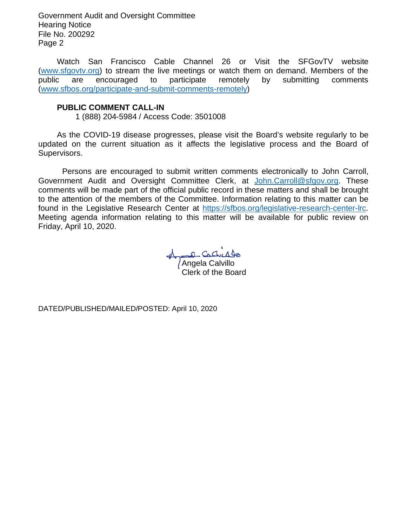Government Audit and Oversight Committee Hearing Notice File No. 200292 Page 2

Watch San Francisco Cable Channel 26 or Visit the SFGovTV website (www.sfgovtv.org) to stream the live meetings or watch them on demand. Members of the public are encouraged to participate remotely by submitting comments (www.sfbos.org/participate-and-submit-comments-remotely)

### **PUBLIC COMMENT CALL-IN**

1 (888) 204-5984 / Access Code: 3501008

As the COVID-19 disease progresses, please visit the Board's website regularly to be updated on the current situation as it affects the legislative process and the Board of Supervisors.

 Persons are encouraged to submit written comments electronically to John Carroll, Government Audit and Oversight Committee Clerk, at John.Carroll@sfgov.org. These comments will be made part of the official public record in these matters and shall be brought to the attention of the members of the Committee. Information relating to this matter can be found in the Legislative Research Center at https://sfbos.org/legislative-research-center-lrc. Meeting agenda information relating to this matter will be available for public review on Friday, April 10, 2020.

Angela Calvillo Clerk of the Board

DATED/PUBLISHED/MAILED/POSTED: April 10, 2020